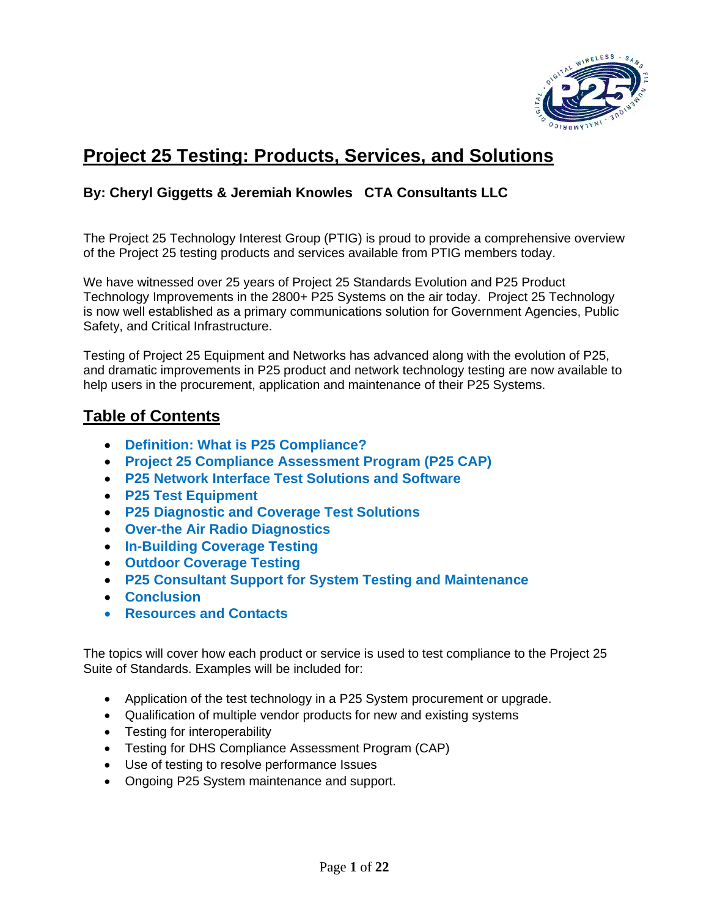

# **Project 25 Testing: Products, Services, and Solutions**

## **By: Cheryl Giggetts & Jeremiah Knowles CTA Consultants LLC**

The Project 25 Technology Interest Group (PTIG) is proud to provide a comprehensive overview of the Project 25 testing products and services available from PTIG members today.

We have witnessed over 25 years of Project 25 Standards Evolution and P25 Product Technology Improvements in the 2800+ P25 Systems on the air today. Project 25 Technology is now well established as a primary communications solution for Government Agencies, Public Safety, and Critical Infrastructure.

Testing of Project 25 Equipment and Networks has advanced along with the evolution of P25, and dramatic improvements in P25 product and network technology testing are now available to help users in the procurement, application and maintenance of their P25 Systems.

# **Table of Contents**

- **Definition: What is P25 Compliance?**
- **Project 25 Compliance Assessment Program (P25 CAP)**
- **P25 Network Interface Test Solutions and Software**
- **P25 Test Equipment**
- **P25 Diagnostic and Coverage Test Solutions**
- **Over-the Air Radio Diagnostics**
- **In-Building Coverage Testing**
- **Outdoor Coverage Testing**
- **P25 Consultant Support for System Testing and Maintenance**
- **Conclusion**
- **Resources and Contacts**

The topics will cover how each product or service is used to test compliance to the Project 25 Suite of Standards. Examples will be included for:

- Application of the test technology in a P25 System procurement or upgrade.
- Qualification of multiple vendor products for new and existing systems
- Testing for interoperability
- Testing for DHS Compliance Assessment Program (CAP)
- Use of testing to resolve performance Issues
- Ongoing P25 System maintenance and support.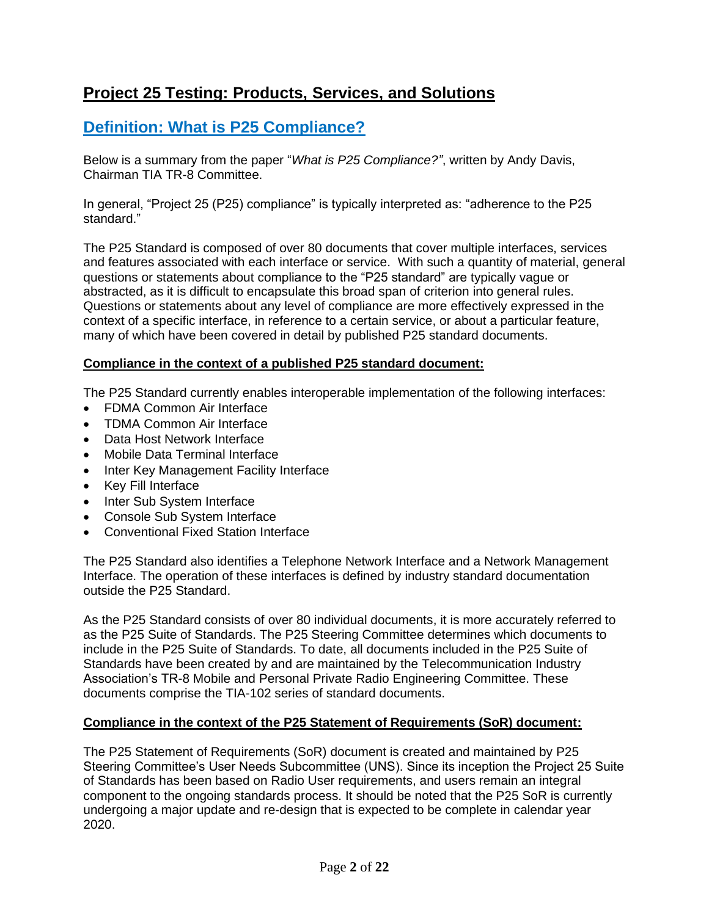# **Project 25 Testing: Products, Services, and Solutions**

# **Definition: What is P25 Compliance?**

Below is a summary from the paper "*What is P25 Compliance?"*, written by Andy Davis, Chairman TIA TR-8 Committee.

In general, "Project 25 (P25) compliance" is typically interpreted as: "adherence to the P25 standard."

The P25 Standard is composed of over 80 documents that cover multiple interfaces, services and features associated with each interface or service. With such a quantity of material, general questions or statements about compliance to the "P25 standard" are typically vague or abstracted, as it is difficult to encapsulate this broad span of criterion into general rules. Questions or statements about any level of compliance are more effectively expressed in the context of a specific interface, in reference to a certain service, or about a particular feature, many of which have been covered in detail by published P25 standard documents.

### **Compliance in the context of a published P25 standard document:**

The P25 Standard currently enables interoperable implementation of the following interfaces:

- FDMA Common Air Interface
- TDMA Common Air Interface
- Data Host Network Interface
- Mobile Data Terminal Interface
- Inter Key Management Facility Interface
- Key Fill Interface
- Inter Sub System Interface
- Console Sub System Interface
- Conventional Fixed Station Interface

The P25 Standard also identifies a Telephone Network Interface and a Network Management Interface. The operation of these interfaces is defined by industry standard documentation outside the P25 Standard.

As the P25 Standard consists of over 80 individual documents, it is more accurately referred to as the P25 Suite of Standards. The P25 Steering Committee determines which documents to include in the P25 Suite of Standards. To date, all documents included in the P25 Suite of Standards have been created by and are maintained by the Telecommunication Industry Association's TR-8 Mobile and Personal Private Radio Engineering Committee. These documents comprise the TIA-102 series of standard documents.

## **Compliance in the context of the P25 Statement of Requirements (SoR) document:**

The P25 Statement of Requirements (SoR) document is created and maintained by P25 Steering Committee's User Needs Subcommittee (UNS). Since its inception the Project 25 Suite of Standards has been based on Radio User requirements, and users remain an integral component to the ongoing standards process. It should be noted that the P25 SoR is currently undergoing a major update and re-design that is expected to be complete in calendar year 2020.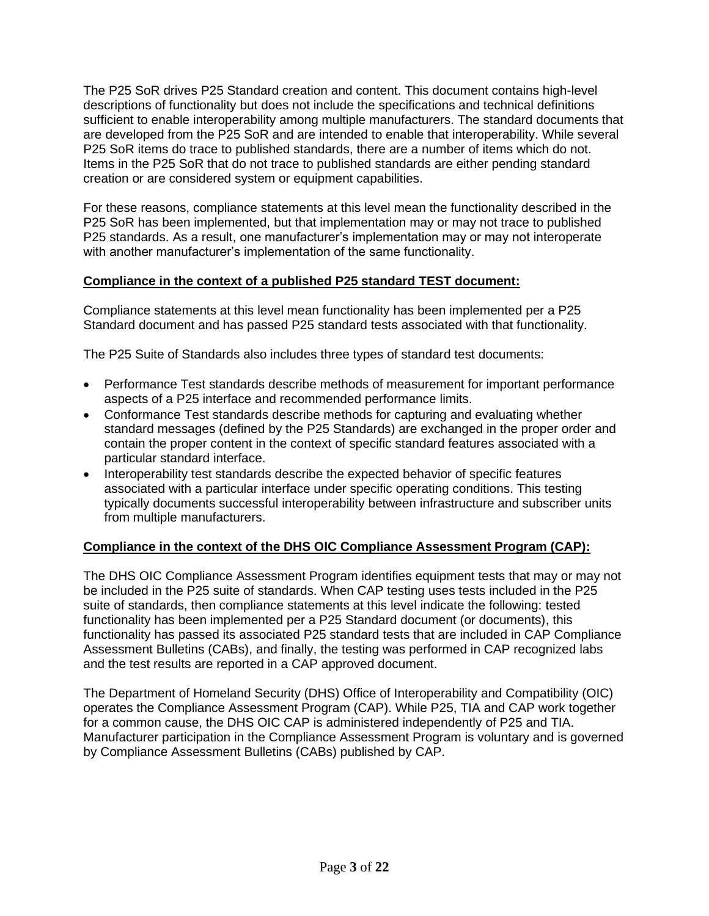The P25 SoR drives P25 Standard creation and content. This document contains high-level descriptions of functionality but does not include the specifications and technical definitions sufficient to enable interoperability among multiple manufacturers. The standard documents that are developed from the P25 SoR and are intended to enable that interoperability. While several P25 SoR items do trace to published standards, there are a number of items which do not. Items in the P25 SoR that do not trace to published standards are either pending standard creation or are considered system or equipment capabilities.

For these reasons, compliance statements at this level mean the functionality described in the P25 SoR has been implemented, but that implementation may or may not trace to published P25 standards. As a result, one manufacturer's implementation may or may not interoperate with another manufacturer's implementation of the same functionality.

## **Compliance in the context of a published P25 standard TEST document:**

Compliance statements at this level mean functionality has been implemented per a P25 Standard document and has passed P25 standard tests associated with that functionality.

The P25 Suite of Standards also includes three types of standard test documents:

- Performance Test standards describe methods of measurement for important performance aspects of a P25 interface and recommended performance limits.
- Conformance Test standards describe methods for capturing and evaluating whether standard messages (defined by the P25 Standards) are exchanged in the proper order and contain the proper content in the context of specific standard features associated with a particular standard interface.
- Interoperability test standards describe the expected behavior of specific features associated with a particular interface under specific operating conditions. This testing typically documents successful interoperability between infrastructure and subscriber units from multiple manufacturers.

## **Compliance in the context of the DHS OIC Compliance Assessment Program (CAP):**

The DHS OIC Compliance Assessment Program identifies equipment tests that may or may not be included in the P25 suite of standards. When CAP testing uses tests included in the P25 suite of standards, then compliance statements at this level indicate the following: tested functionality has been implemented per a P25 Standard document (or documents), this functionality has passed its associated P25 standard tests that are included in CAP Compliance Assessment Bulletins (CABs), and finally, the testing was performed in CAP recognized labs and the test results are reported in a CAP approved document.

The Department of Homeland Security (DHS) Office of Interoperability and Compatibility (OIC) operates the Compliance Assessment Program (CAP). While P25, TIA and CAP work together for a common cause, the DHS OIC CAP is administered independently of P25 and TIA. Manufacturer participation in the Compliance Assessment Program is voluntary and is governed by Compliance Assessment Bulletins (CABs) published by CAP.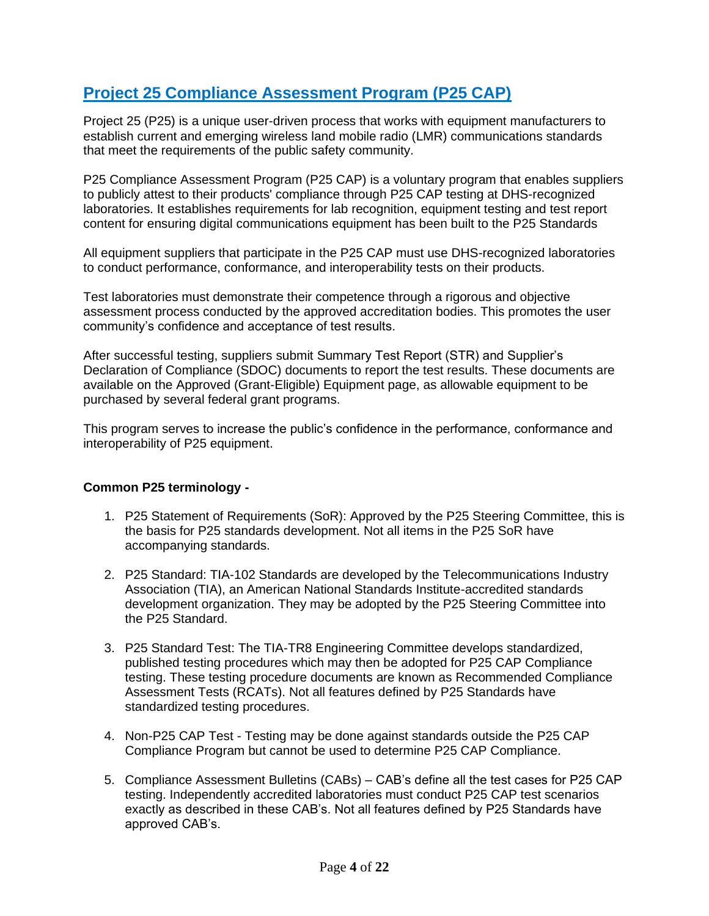# **Project 25 Compliance Assessment Program (P25 CAP)**

Project 25 (P25) is a unique user-driven process that works with equipment manufacturers to establish current and emerging wireless land mobile radio (LMR) communications standards that meet the requirements of the public safety community.

P25 Compliance Assessment Program (P25 CAP) is a voluntary program that enables suppliers to publicly attest to their products' compliance through P25 CAP testing at DHS-recognized laboratories. It establishes requirements for lab recognition, equipment testing and test report content for ensuring digital communications equipment has been built to the P25 Standards

All equipment suppliers that participate in the P25 CAP must use DHS-recognized laboratories to conduct performance, conformance, and interoperability tests on their products.

Test laboratories must demonstrate their competence through a rigorous and objective assessment process conducted by the approved accreditation bodies. This promotes the user community's confidence and acceptance of test results.

After successful testing, suppliers submit Summary Test Report (STR) and Supplier's Declaration of Compliance (SDOC) documents to report the test results. These documents are available on the Approved (Grant-Eligible) Equipment page, as allowable equipment to be purchased by several federal grant programs.

This program serves to increase the public's confidence in the performance, conformance and interoperability of P25 equipment.

### **Common P25 terminology -**

- 1. P25 Statement of Requirements (SoR): Approved by the P25 Steering Committee, this is the basis for P25 standards development. Not all items in the P25 SoR have accompanying standards.
- 2. P25 Standard: TIA-102 Standards are developed by the Telecommunications Industry Association (TIA), an American National Standards Institute-accredited standards development organization. They may be adopted by the P25 Steering Committee into the P25 Standard.
- 3. P25 Standard Test: The TIA-TR8 Engineering Committee develops standardized, published testing procedures which may then be adopted for P25 CAP Compliance testing. These testing procedure documents are known as Recommended Compliance Assessment Tests (RCATs). Not all features defined by P25 Standards have standardized testing procedures.
- 4. Non-P25 CAP Test Testing may be done against standards outside the P25 CAP Compliance Program but cannot be used to determine P25 CAP Compliance.
- 5. Compliance Assessment Bulletins (CABs) CAB's define all the test cases for P25 CAP testing. Independently accredited laboratories must conduct P25 CAP test scenarios exactly as described in these CAB's. Not all features defined by P25 Standards have approved CAB's.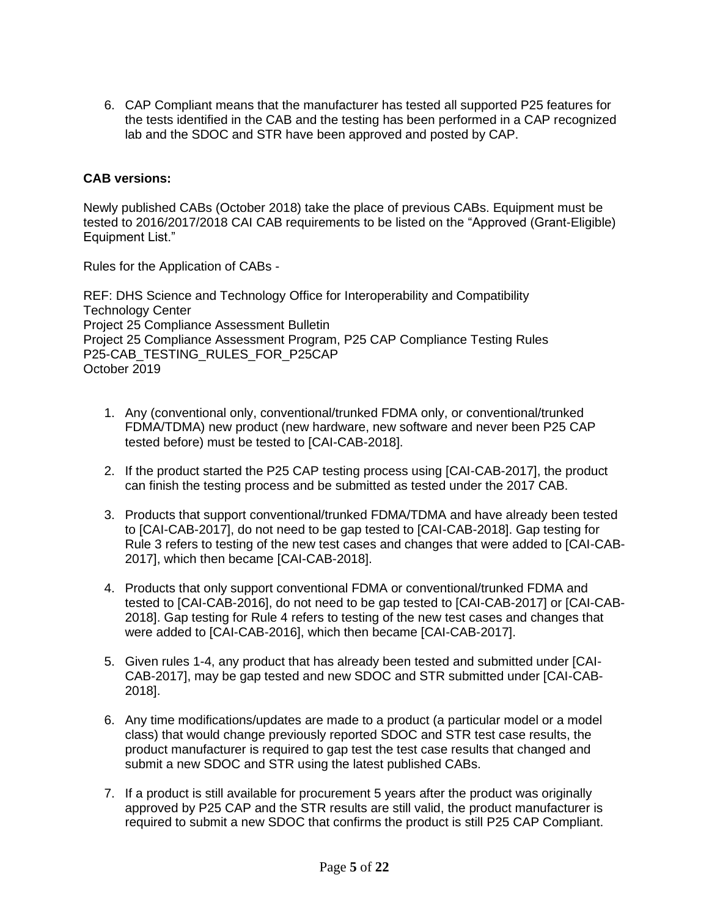6. CAP Compliant means that the manufacturer has tested all supported P25 features for the tests identified in the CAB and the testing has been performed in a CAP recognized lab and the SDOC and STR have been approved and posted by CAP.

### **CAB versions:**

Newly published CABs (October 2018) take the place of previous CABs. Equipment must be tested to 2016/2017/2018 CAI CAB requirements to be listed on the "Approved (Grant-Eligible) Equipment List."

Rules for the Application of CABs -

REF: DHS Science and Technology Office for Interoperability and Compatibility Technology Center Project 25 Compliance Assessment Bulletin Project 25 Compliance Assessment Program, P25 CAP Compliance Testing Rules P25-CAB\_TESTING\_RULES\_FOR\_P25CAP October 2019

- 1. Any (conventional only, conventional/trunked FDMA only, or conventional/trunked FDMA/TDMA) new product (new hardware, new software and never been P25 CAP tested before) must be tested to [CAI-CAB-2018].
- 2. If the product started the P25 CAP testing process using [CAI-CAB-2017], the product can finish the testing process and be submitted as tested under the 2017 CAB.
- 3. Products that support conventional/trunked FDMA/TDMA and have already been tested to [CAI-CAB-2017], do not need to be gap tested to [CAI-CAB-2018]. Gap testing for Rule 3 refers to testing of the new test cases and changes that were added to [CAI-CAB-2017], which then became [CAI-CAB-2018].
- 4. Products that only support conventional FDMA or conventional/trunked FDMA and tested to [CAI-CAB-2016], do not need to be gap tested to [CAI-CAB-2017] or [CAI-CAB-2018]. Gap testing for Rule 4 refers to testing of the new test cases and changes that were added to [CAI-CAB-2016], which then became [CAI-CAB-2017].
- 5. Given rules 1-4, any product that has already been tested and submitted under [CAI-CAB-2017], may be gap tested and new SDOC and STR submitted under [CAI-CAB-2018].
- 6. Any time modifications/updates are made to a product (a particular model or a model class) that would change previously reported SDOC and STR test case results, the product manufacturer is required to gap test the test case results that changed and submit a new SDOC and STR using the latest published CABs.
- 7. If a product is still available for procurement 5 years after the product was originally approved by P25 CAP and the STR results are still valid, the product manufacturer is required to submit a new SDOC that confirms the product is still P25 CAP Compliant.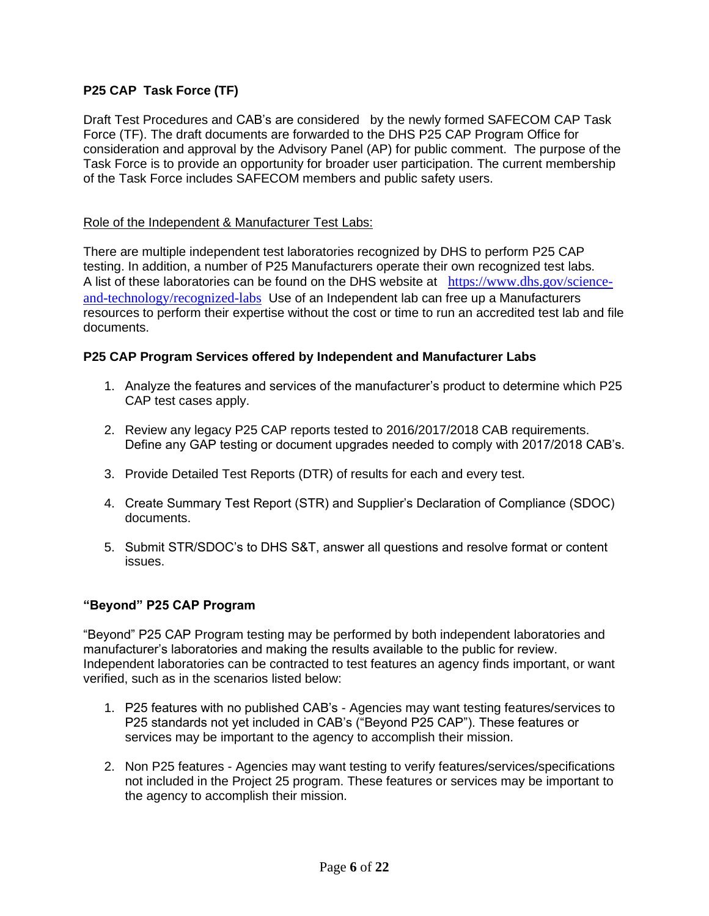## **P25 CAP Task Force (TF)**

Draft Test Procedures and CAB's are considered by the newly formed SAFECOM CAP Task Force (TF). The draft documents are forwarded to the DHS P25 CAP Program Office for consideration and approval by the Advisory Panel (AP) for public comment. The purpose of the Task Force is to provide an opportunity for broader user participation. The current membership of the Task Force includes SAFECOM members and public safety users.

### Role of the Independent & Manufacturer Test Labs:

There are multiple independent test laboratories recognized by DHS to perform P25 CAP testing. In addition, a number of P25 Manufacturers operate their own recognized test labs. A list of these laboratories can be found on the DHS website at [https://www.dhs.gov/science](https://www.dhs.gov/science-and-technology/recognized-labs)[and-technology/recognized-labs](https://www.dhs.gov/science-and-technology/recognized-labs) Use of an Independent lab can free up a Manufacturers resources to perform their expertise without the cost or time to run an accredited test lab and file documents.

### **P25 CAP Program Services offered by Independent and Manufacturer Labs**

- 1. Analyze the features and services of the manufacturer's product to determine which P25 CAP test cases apply.
- 2. Review any legacy P25 CAP reports tested to 2016/2017/2018 CAB requirements. Define any GAP testing or document upgrades needed to comply with 2017/2018 CAB's.
- 3. Provide Detailed Test Reports (DTR) of results for each and every test.
- 4. Create Summary Test Report (STR) and Supplier's Declaration of Compliance (SDOC) documents.
- 5. Submit STR/SDOC's to DHS S&T, answer all questions and resolve format or content issues.

### **"Beyond" P25 CAP Program**

"Beyond" P25 CAP Program testing may be performed by both independent laboratories and manufacturer's laboratories and making the results available to the public for review. Independent laboratories can be contracted to test features an agency finds important, or want verified, such as in the scenarios listed below:

- 1. P25 features with no published CAB's Agencies may want testing features/services to P25 standards not yet included in CAB's ("Beyond P25 CAP"). These features or services may be important to the agency to accomplish their mission.
- 2. Non P25 features Agencies may want testing to verify features/services/specifications not included in the Project 25 program. These features or services may be important to the agency to accomplish their mission.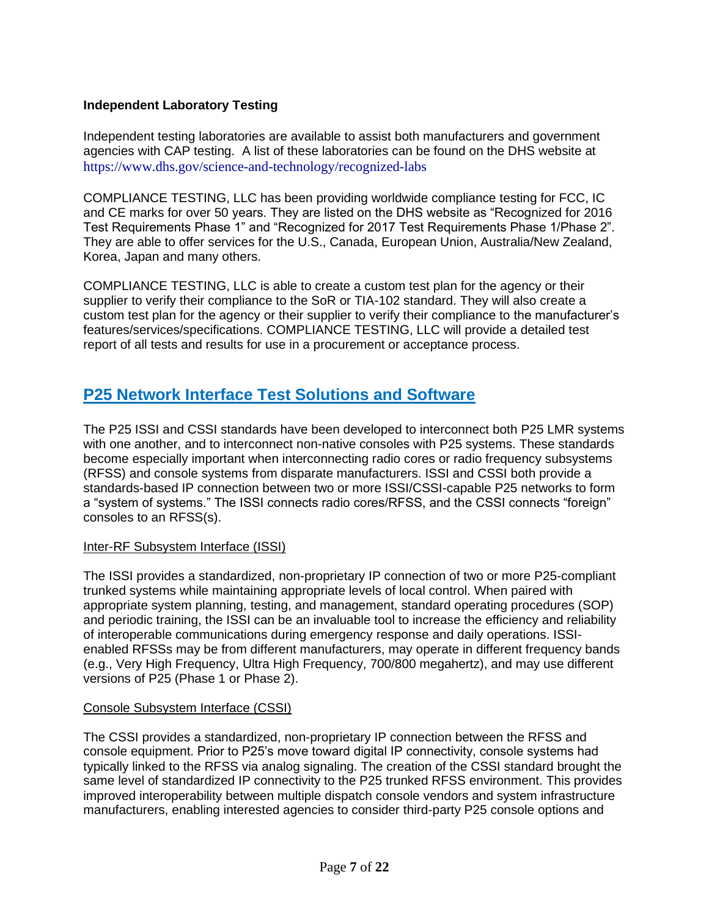### **Independent Laboratory Testing**

Independent testing laboratories are available to assist both manufacturers and government agencies with CAP testing. A list of these laboratories can be found on the DHS website at <https://www.dhs.gov/science-and-technology/recognized-labs>

COMPLIANCE TESTING, LLC has been providing worldwide compliance testing for FCC, IC and CE marks for over 50 years. They are listed on the DHS website as "Recognized for 2016 Test Requirements Phase 1" and "Recognized for 2017 Test Requirements Phase 1/Phase 2". They are able to offer services for the U.S., Canada, European Union, Australia/New Zealand, Korea, Japan and many others.

COMPLIANCE TESTING, LLC is able to create a custom test plan for the agency or their supplier to verify their compliance to the SoR or TIA-102 standard. They will also create a custom test plan for the agency or their supplier to verify their compliance to the manufacturer's features/services/specifications. COMPLIANCE TESTING, LLC will provide a detailed test report of all tests and results for use in a procurement or acceptance process.

# **P25 Network Interface Test Solutions and Software**

The P25 ISSI and CSSI standards have been developed to interconnect both P25 LMR systems with one another, and to interconnect non-native consoles with P25 systems. These standards become especially important when interconnecting radio cores or radio frequency subsystems (RFSS) and console systems from disparate manufacturers. ISSI and CSSI both provide a standards-based IP connection between two or more ISSI/CSSI-capable P25 networks to form a "system of systems." The ISSI connects radio cores/RFSS, and the CSSI connects "foreign" consoles to an RFSS(s).

### Inter-RF Subsystem Interface (ISSI)

The ISSI provides a standardized, non-proprietary IP connection of two or more P25-compliant trunked systems while maintaining appropriate levels of local control. When paired with appropriate system planning, testing, and management, standard operating procedures (SOP) and periodic training, the ISSI can be an invaluable tool to increase the efficiency and reliability of interoperable communications during emergency response and daily operations. ISSIenabled RFSSs may be from different manufacturers, may operate in different frequency bands (e.g., Very High Frequency, Ultra High Frequency, 700/800 megahertz), and may use different versions of P25 (Phase 1 or Phase 2).

### Console Subsystem Interface (CSSI)

The CSSI provides a standardized, non-proprietary IP connection between the RFSS and console equipment. Prior to P25's move toward digital IP connectivity, console systems had typically linked to the RFSS via analog signaling. The creation of the CSSI standard brought the same level of standardized IP connectivity to the P25 trunked RFSS environment. This provides improved interoperability between multiple dispatch console vendors and system infrastructure manufacturers, enabling interested agencies to consider third-party P25 console options and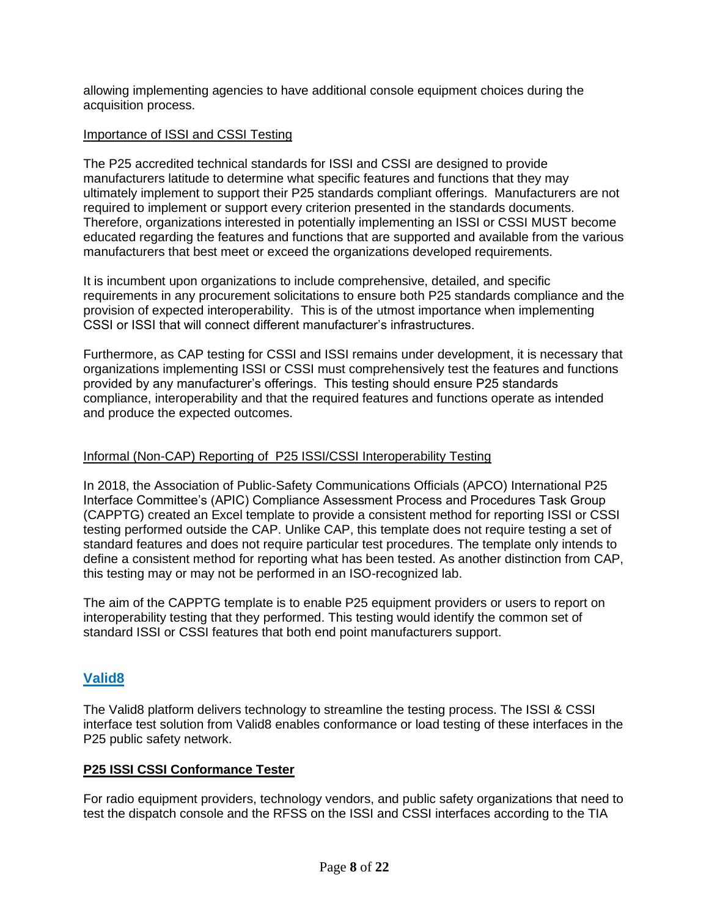allowing implementing agencies to have additional console equipment choices during the acquisition process.

### Importance of ISSI and CSSI Testing

The P25 accredited technical standards for ISSI and CSSI are designed to provide manufacturers latitude to determine what specific features and functions that they may ultimately implement to support their P25 standards compliant offerings. Manufacturers are not required to implement or support every criterion presented in the standards documents. Therefore, organizations interested in potentially implementing an ISSI or CSSI MUST become educated regarding the features and functions that are supported and available from the various manufacturers that best meet or exceed the organizations developed requirements.

It is incumbent upon organizations to include comprehensive, detailed, and specific requirements in any procurement solicitations to ensure both P25 standards compliance and the provision of expected interoperability. This is of the utmost importance when implementing CSSI or ISSI that will connect different manufacturer's infrastructures.

Furthermore, as CAP testing for CSSI and ISSI remains under development, it is necessary that organizations implementing ISSI or CSSI must comprehensively test the features and functions provided by any manufacturer's offerings. This testing should ensure P25 standards compliance, interoperability and that the required features and functions operate as intended and produce the expected outcomes.

#### Informal (Non-CAP) Reporting of P25 ISSI/CSSI Interoperability Testing

In 2018, the Association of Public-Safety Communications Officials (APCO) International P25 Interface Committee's (APIC) Compliance Assessment Process and Procedures Task Group (CAPPTG) created an Excel template to provide a consistent method for reporting ISSI or CSSI testing performed outside the CAP. Unlike CAP, this template does not require testing a set of standard features and does not require particular test procedures. The template only intends to define a consistent method for reporting what has been tested. As another distinction from CAP, this testing may or may not be performed in an ISO-recognized lab.

The aim of the CAPPTG template is to enable P25 equipment providers or users to report on interoperability testing that they performed. This testing would identify the common set of standard ISSI or CSSI features that both end point manufacturers support.

### **Valid8**

The Valid8 platform delivers technology to streamline the testing process. The ISSI & CSSI interface test solution from Valid8 enables conformance or load testing of these interfaces in the P25 public safety network.

#### **P25 ISSI CSSI Conformance Tester**

For radio equipment providers, technology vendors, and public safety organizations that need to test the dispatch console and the RFSS on the ISSI and CSSI interfaces according to the TIA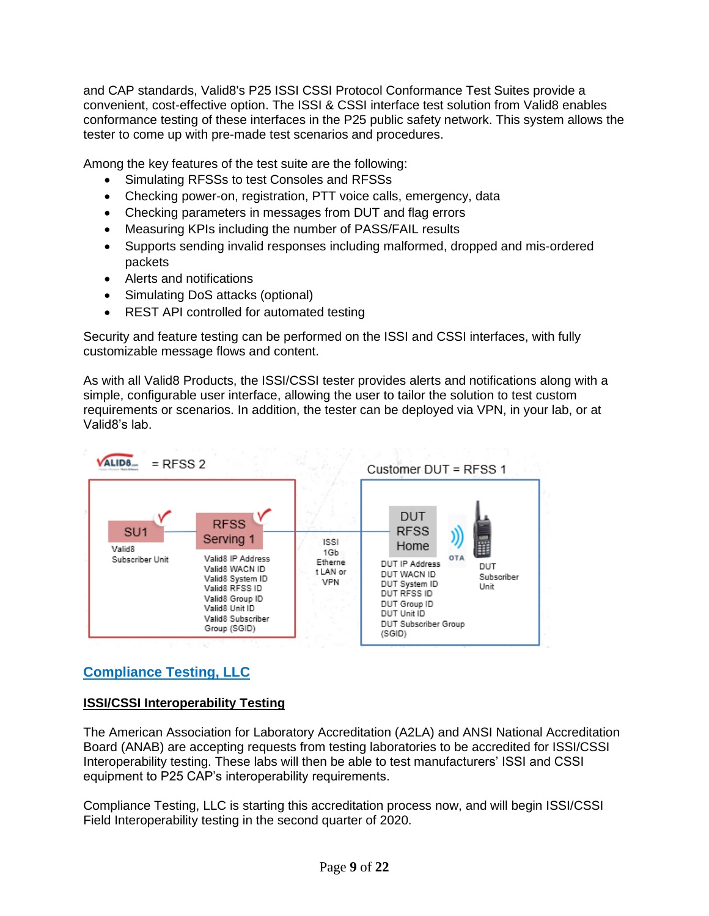and CAP standards, Valid8's P25 ISSI CSSI Protocol Conformance Test Suites provide a convenient, cost-effective option. The ISSI & CSSI interface test solution from Valid8 enables conformance testing of these interfaces in the P25 public safety network. This system allows the tester to come up with pre-made test scenarios and procedures.

Among the key features of the test suite are the following:

- Simulating RFSSs to test Consoles and RFSSs
- Checking power-on, registration, PTT voice calls, emergency, data
- Checking parameters in messages from DUT and flag errors
- Measuring KPIs including the number of PASS/FAIL results
- Supports sending invalid responses including malformed, dropped and mis-ordered packets
- Alerts and notifications
- Simulating DoS attacks (optional)
- REST API controlled for automated testing

Security and feature testing can be performed on the ISSI and CSSI interfaces, with fully customizable message flows and content.

As with all Valid8 Products, the ISSI/CSSI tester provides alerts and notifications along with a simple, configurable user interface, allowing the user to tailor the solution to test custom requirements or scenarios. In addition, the tester can be deployed via VPN, in your lab, or at Valid8's lab.



## **Compliance Testing, LLC**

## **ISSI/CSSI Interoperability Testing**

The American Association for Laboratory Accreditation (A2LA) and ANSI National Accreditation Board (ANAB) are accepting requests from testing laboratories to be accredited for ISSI/CSSI Interoperability testing. These labs will then be able to test manufacturers' ISSI and CSSI equipment to P25 CAP's interoperability requirements.

Compliance Testing, LLC is starting this accreditation process now, and will begin ISSI/CSSI Field Interoperability testing in the second quarter of 2020.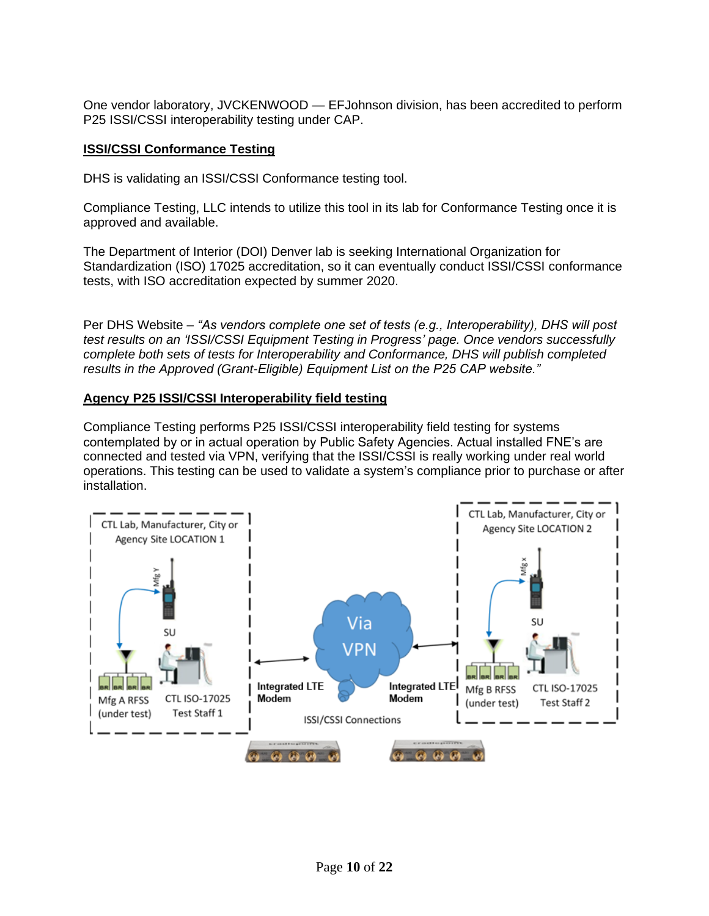One vendor laboratory, JVCKENWOOD — EFJohnson division, has been accredited to perform P25 ISSI/CSSI interoperability testing under CAP.

### **ISSI/CSSI Conformance Testing**

DHS is validating an ISSI/CSSI Conformance testing tool.

Compliance Testing, LLC intends to utilize this tool in its lab for Conformance Testing once it is approved and available.

The Department of Interior (DOI) Denver lab is seeking International Organization for Standardization (ISO) 17025 accreditation, so it can eventually conduct ISSI/CSSI conformance tests, with ISO accreditation expected by summer 2020.

Per DHS Website *– "As vendors complete one set of tests (e.g., Interoperability), DHS will post test results on an 'ISSI/CSSI Equipment Testing in Progress' page. Once vendors successfully complete both sets of tests for Interoperability and Conformance, DHS will publish completed results in the Approved (Grant-Eligible) Equipment List on the P25 CAP website."*

### **Agency P25 ISSI/CSSI Interoperability field testing**

Compliance Testing performs P25 ISSI/CSSI interoperability field testing for systems contemplated by or in actual operation by Public Safety Agencies. Actual installed FNE's are connected and tested via VPN, verifying that the ISSI/CSSI is really working under real world operations. This testing can be used to validate a system's compliance prior to purchase or after installation.

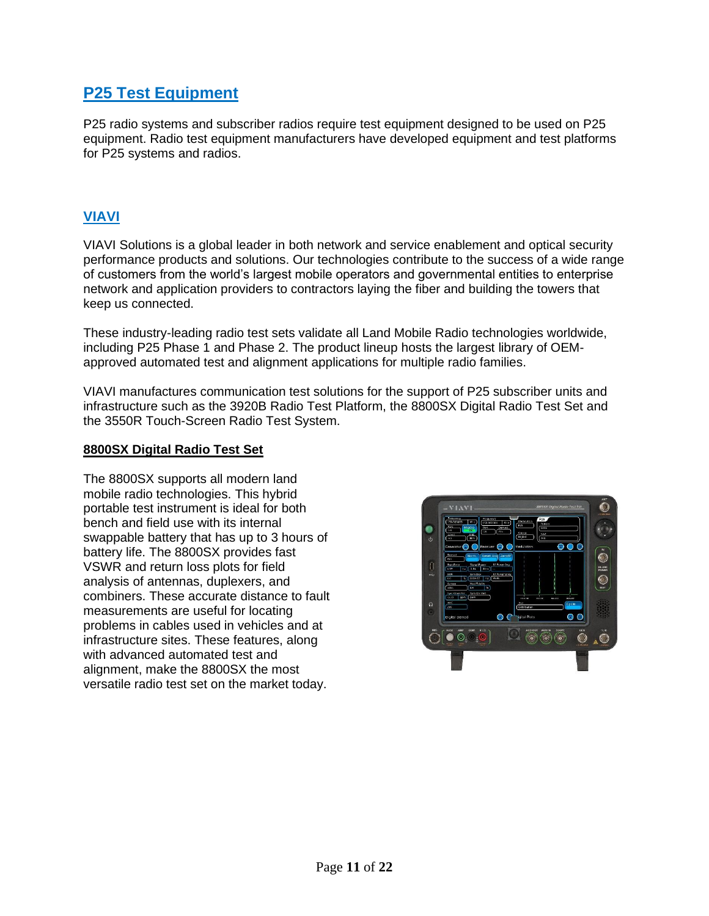# **P25 Test Equipment**

P25 radio systems and subscriber radios require test equipment designed to be used on P25 equipment. Radio test equipment manufacturers have developed equipment and test platforms for P25 systems and radios.

## **VIAVI**

VIAVI Solutions is a global leader in both network and service enablement and optical security performance products and solutions. Our technologies contribute to the success of a wide range of customers from the world's largest mobile operators and governmental entities to enterprise network and application providers to contractors laying the fiber and building the towers that keep us connected.

These industry-leading radio test sets validate all Land Mobile Radio technologies worldwide, including P25 Phase 1 and Phase 2. The product lineup hosts the largest library of OEMapproved automated test and alignment applications for multiple radio families.

VIAVI manufactures communication test solutions for the support of P25 subscriber units and infrastructure such as the 3920B Radio Test Platform, the 8800SX Digital Radio Test Set and the 3550R Touch-Screen Radio Test System.

#### **8800SX Digital Radio Test Set**

The 8800SX supports all modern land mobile radio technologies. This hybrid portable test instrument is ideal for both bench and field use with its internal swappable battery that has up to 3 hours of battery life. The 8800SX provides fast VSWR and return loss plots for field analysis of antennas, duplexers, and combiners. These accurate distance to fault measurements are useful for locating problems in cables used in vehicles and at infrastructure sites. These features, along with advanced automated test and alignment, make the 8800SX the most versatile radio test set on the market today.

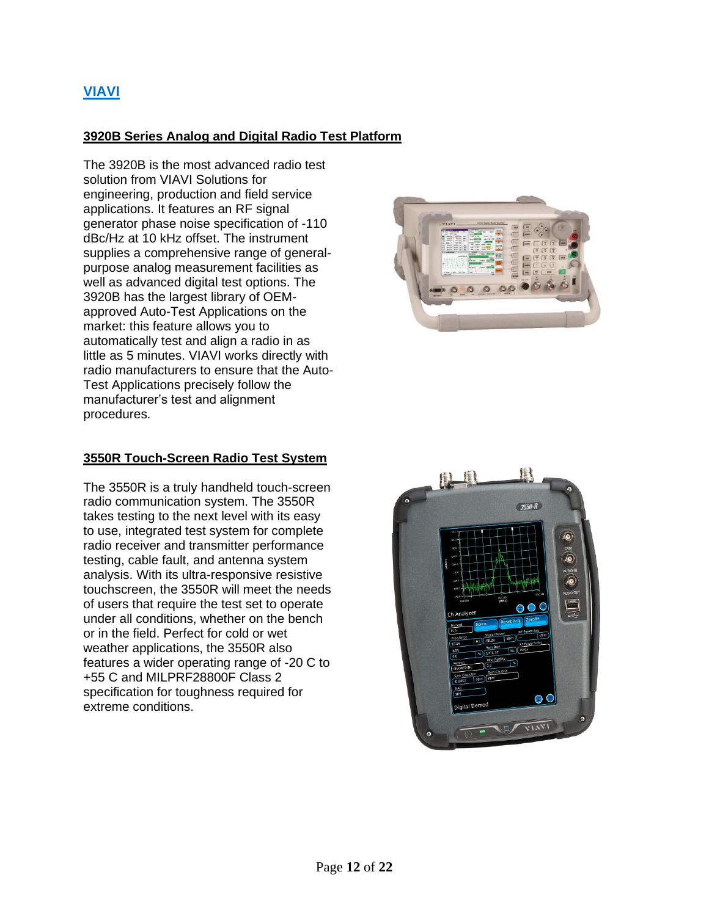## **3920B Series Analog and Digital Radio Test Platform**

The 3920B is the most advanced radio test solution from VIAVI Solutions for engineering, production and field service applications. It features an RF signal generator phase noise specification of -110 dBc/Hz at 10 kHz offset. The instrument supplies a comprehensive range of generalpurpose analog measurement facilities as well as advanced digital test options. The 3920B has the largest library of OEMapproved Auto-Test Applications on the market: this feature allows you to automatically test and align a radio in as little as 5 minutes. VIAVI works directly with radio manufacturers to ensure that the Auto-Test Applications precisely follow the manufacturer's test and alignment procedures.

## **3550R Touch-Screen Radio Test System**

The 3550R is a truly handheld touch-screen radio communication system. The 3550R takes testing to the next level with its easy to use, integrated test system for complete radio receiver and transmitter performance testing, cable fault, and antenna system analysis. With its ultra-responsive resistive touchscreen, the 3550R will meet the needs of users that require the test set to operate under all conditions, whether on the bench or in the field. Perfect for cold or wet weather applications, the 3550R also features a wider operating range of -20 C to +55 C and MILPRF28800F Class 2 specification for toughness required for extreme conditions.



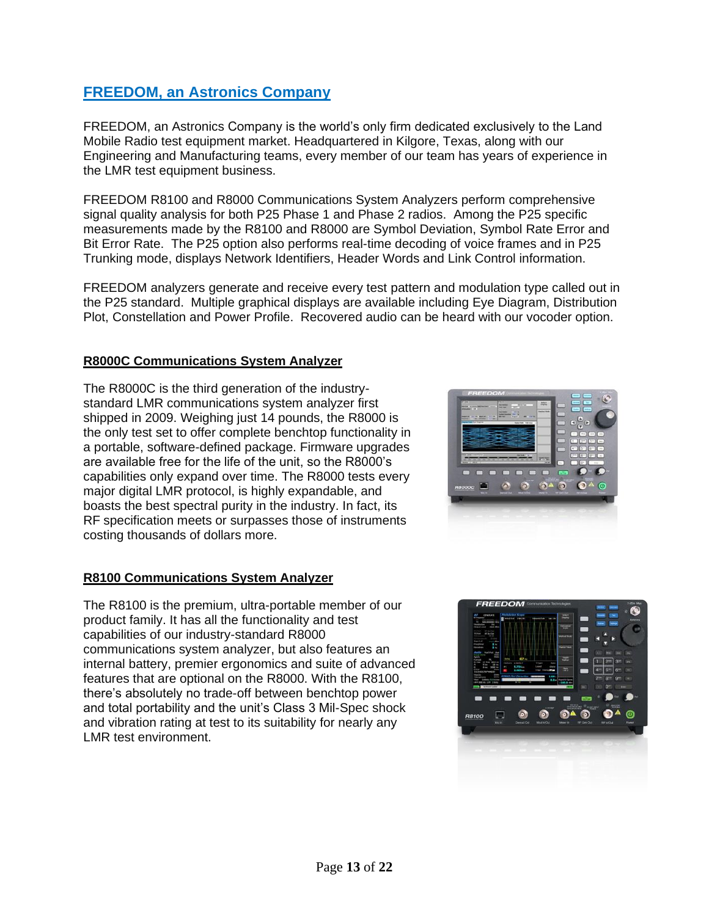# **FREEDOM, an Astronics Company**

FREEDOM, an Astronics Company is the world's only firm dedicated exclusively to the Land Mobile Radio test equipment market. Headquartered in Kilgore, Texas, along with our Engineering and Manufacturing teams, every member of our team has years of experience in the LMR test equipment business.

FREEDOM R8100 and R8000 Communications System Analyzers perform comprehensive signal quality analysis for both P25 Phase 1 and Phase 2 radios. Among the P25 specific measurements made by the R8100 and R8000 are Symbol Deviation, Symbol Rate Error and Bit Error Rate. The P25 option also performs real-time decoding of voice frames and in P25 Trunking mode, displays Network Identifiers, Header Words and Link Control information.

FREEDOM analyzers generate and receive every test pattern and modulation type called out in the P25 standard. Multiple graphical displays are available including Eye Diagram, Distribution Plot, Constellation and Power Profile. Recovered audio can be heard with our vocoder option.

### **R8000C Communications System Analyzer**

The R8000C is the third generation of the industrystandard LMR communications system analyzer first shipped in 2009. Weighing just 14 pounds, the R8000 is the only test set to offer complete benchtop functionality in a portable, software-defined package. Firmware upgrades are available free for the life of the unit, so the R8000's capabilities only expand over time. The R8000 tests every major digital LMR protocol, is highly expandable, and boasts the best spectral purity in the industry. In fact, its RF specification meets or surpasses those of instruments costing thousands of dollars more.



### **R8100 Communications System Analyzer**

The R8100 is the premium, ultra-portable member of our product family. It has all the functionality and test capabilities of our industry-standard R8000 communications system analyzer, but also features an internal battery, premier ergonomics and suite of advanced features that are optional on the R8000. With the R8100, there's absolutely no trade-off between benchtop power and total portability and the unit's Class 3 Mil-Spec shock and vibration rating at test to its suitability for nearly any LMR test environment.

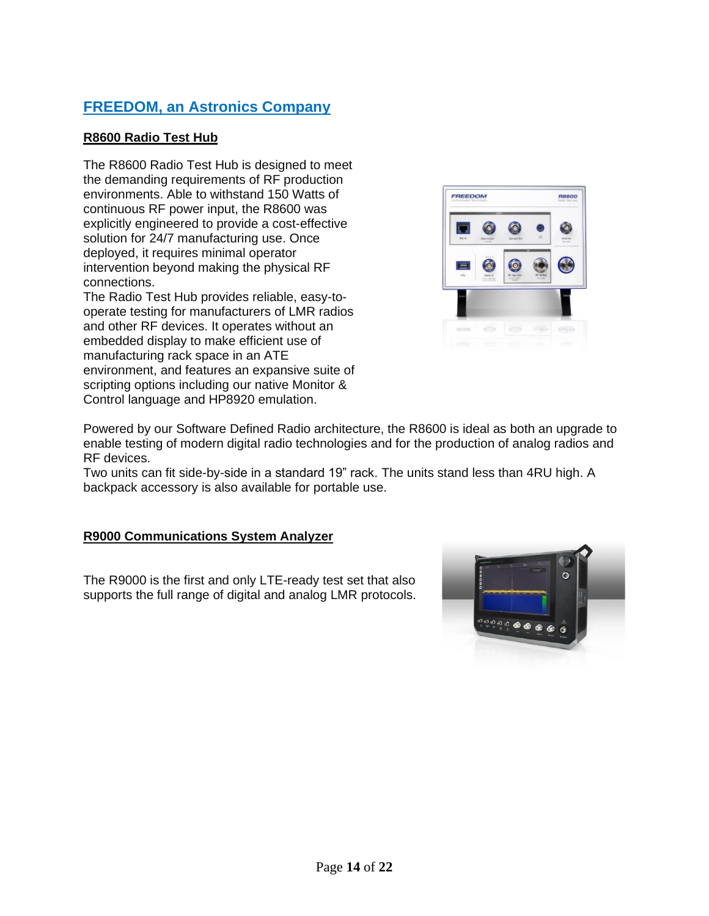# **FREEDOM, an Astronics Company**

## **R8600 Radio Test Hub**

The R8600 Radio Test Hub is designed to meet the demanding requirements of RF production environments. Able to withstand 150 Watts of continuous RF power input, the R8600 was explicitly engineered to provide a cost-effective solution for 24/7 manufacturing use. Once deployed, it requires minimal operator intervention beyond making the physical RF connections.

The Radio Test Hub provides reliable, easy-tooperate testing for manufacturers of LMR radios and other RF devices. It operates without an embedded display to make efficient use of manufacturing rack space in an ATE environment, and features an expansive suite of scripting options including our native Monitor & Control language and HP8920 emulation.



Powered by our Software Defined Radio architecture, the R8600 is ideal as both an upgrade to enable testing of modern digital radio technologies and for the production of analog radios and RF devices.

Two units can fit side-by-side in a standard 19" rack. The units stand less than 4RU high. A backpack accessory is also available for portable use.

## **R9000 Communications System Analyzer**

The R9000 is the first and only LTE-ready test set that also supports the full range of digital and analog LMR protocols.

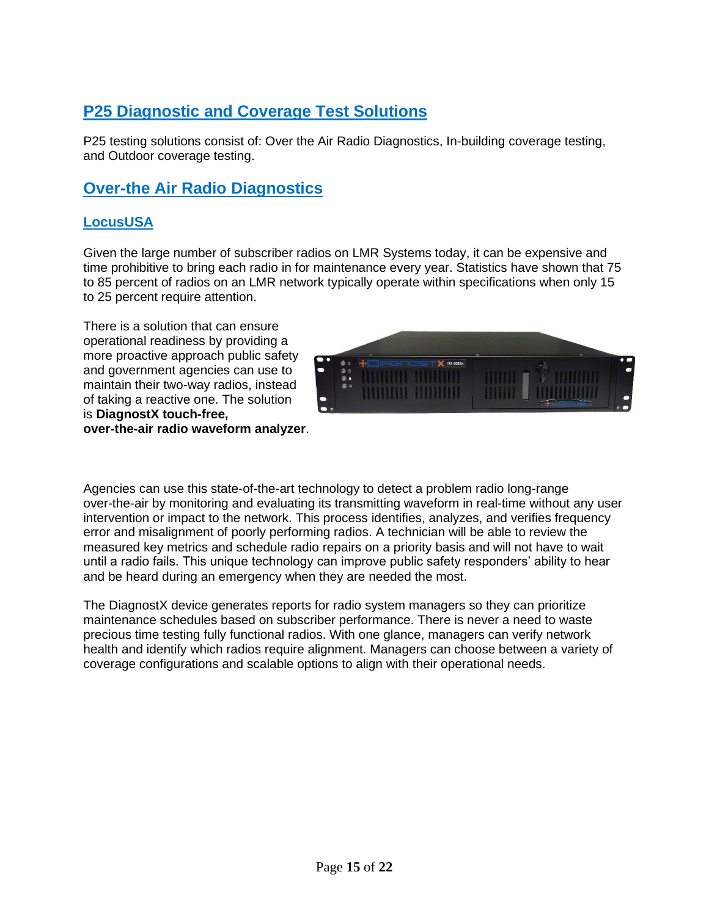# **P25 Diagnostic and Coverage Test Solutions**

P25 testing solutions consist of: Over the Air Radio Diagnostics, In-building coverage testing, and Outdoor coverage testing.

# **Over-the Air Radio Diagnostics**

## **LocusUSA**

Given the large number of subscriber radios on LMR Systems today, it can be expensive and time prohibitive to bring each radio in for maintenance every year. Statistics have shown that 75 to 85 percent of radios on an LMR network typically operate within specifications when only 15 to 25 percent require attention.

There is a solution that can ensure operational readiness by providing a more proactive approach public safety and government agencies can use to maintain their two-way radios, instead of taking a reactive one. The solution is **DiagnostX touch-free, over-the-air radio waveform analyzer**.



Agencies can use this state-of-the-art technology to detect a problem radio long-range over-the-air by monitoring and evaluating its transmitting waveform in real-time without any user intervention or impact to the network. This process identifies, analyzes, and verifies frequency error and misalignment of poorly performing radios. A technician will be able to review the measured key metrics and schedule radio repairs on a priority basis and will not have to wait until a radio fails. This unique technology can improve public safety responders' ability to hear and be heard during an emergency when they are needed the most.

The DiagnostX device generates reports for radio system managers so they can prioritize maintenance schedules based on subscriber performance. There is never a need to waste precious time testing fully functional radios. With one glance, managers can verify network health and identify which radios require alignment. Managers can choose between a variety of coverage configurations and scalable options to align with their operational needs.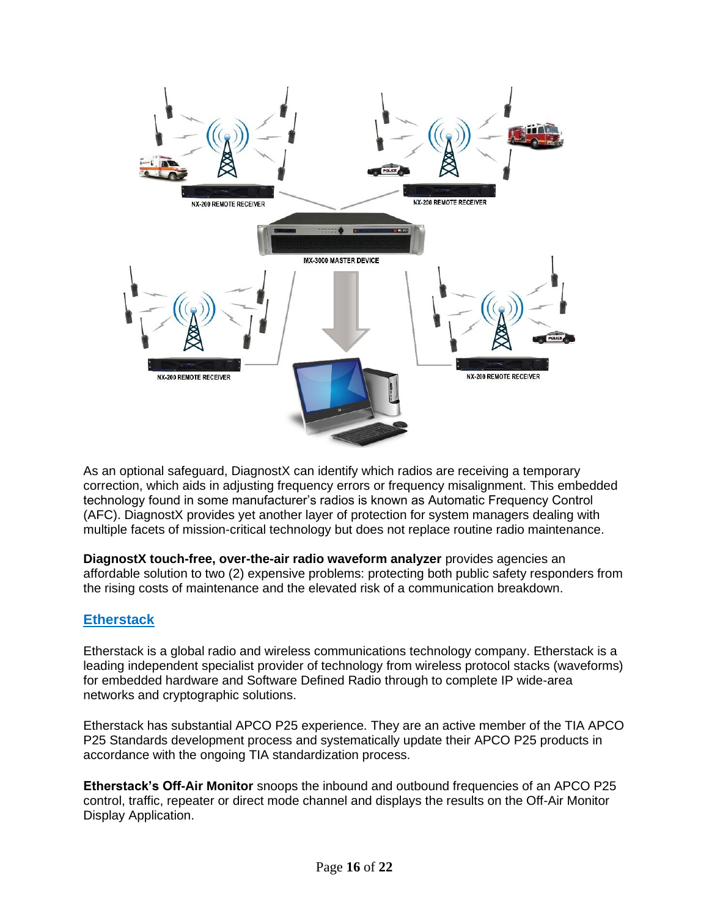

As an optional safeguard, DiagnostX can identify which radios are receiving a temporary correction, which aids in adjusting frequency errors or frequency misalignment. This embedded technology found in some manufacturer's radios is known as Automatic Frequency Control (AFC). DiagnostX provides yet another layer of protection for system managers dealing with multiple facets of mission-critical technology but does not replace routine radio maintenance.

**DiagnostX touch-free, over-the-air radio waveform analyzer** provides agencies an affordable solution to two (2) expensive problems: protecting both public safety responders from the rising costs of maintenance and the elevated risk of a communication breakdown.

## **Etherstack**

Etherstack is a global radio and wireless communications technology company. Etherstack is a leading independent specialist provider of technology from wireless protocol stacks (waveforms) for embedded hardware and Software Defined Radio through to complete IP wide-area networks and cryptographic solutions.

Etherstack has substantial APCO P25 experience. They are an active member of the TIA APCO P25 Standards development process and systematically update their APCO P25 products in accordance with the ongoing TIA standardization process.

**Etherstack's Off-Air Monitor** snoops the inbound and outbound frequencies of an APCO P25 control, traffic, repeater or direct mode channel and displays the results on the Off-Air Monitor Display Application.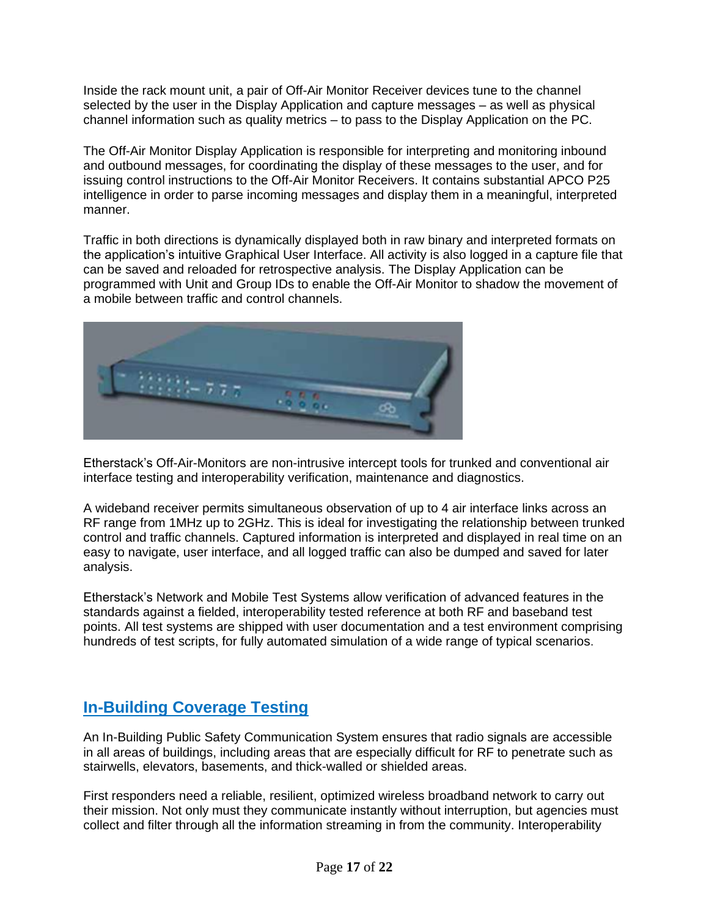Inside the rack mount unit, a pair of Off-Air Monitor Receiver devices tune to the channel selected by the user in the Display Application and capture messages – as well as physical channel information such as quality metrics – to pass to the Display Application on the PC.

The Off-Air Monitor Display Application is responsible for interpreting and monitoring inbound and outbound messages, for coordinating the display of these messages to the user, and for issuing control instructions to the Off-Air Monitor Receivers. It contains substantial APCO P25 intelligence in order to parse incoming messages and display them in a meaningful, interpreted manner.

Traffic in both directions is dynamically displayed both in raw binary and interpreted formats on the application's intuitive Graphical User Interface. All activity is also logged in a capture file that can be saved and reloaded for retrospective analysis. The Display Application can be programmed with Unit and Group IDs to enable the Off-Air Monitor to shadow the movement of a mobile between traffic and control channels.



Etherstack's Off-Air-Monitors are non-intrusive intercept tools for trunked and conventional air interface testing and interoperability verification, maintenance and diagnostics.

A wideband receiver permits simultaneous observation of up to 4 air interface links across an RF range from 1MHz up to 2GHz. This is ideal for investigating the relationship between trunked control and traffic channels. Captured information is interpreted and displayed in real time on an easy to navigate, user interface, and all logged traffic can also be dumped and saved for later analysis.

Etherstack's Network and Mobile Test Systems allow verification of advanced features in the standards against a fielded, interoperability tested reference at both RF and baseband test points. All test systems are shipped with user documentation and a test environment comprising hundreds of test scripts, for fully automated simulation of a wide range of typical scenarios.

# **In-Building Coverage Testing**

An In-Building Public Safety Communication System ensures that radio signals are accessible in all areas of buildings, including areas that are especially difficult for RF to penetrate such as stairwells, elevators, basements, and thick-walled or shielded areas.

First responders need a reliable, resilient, optimized wireless broadband network to carry out their mission. Not only must they communicate instantly without interruption, but agencies must collect and filter through all the information streaming in from the community. Interoperability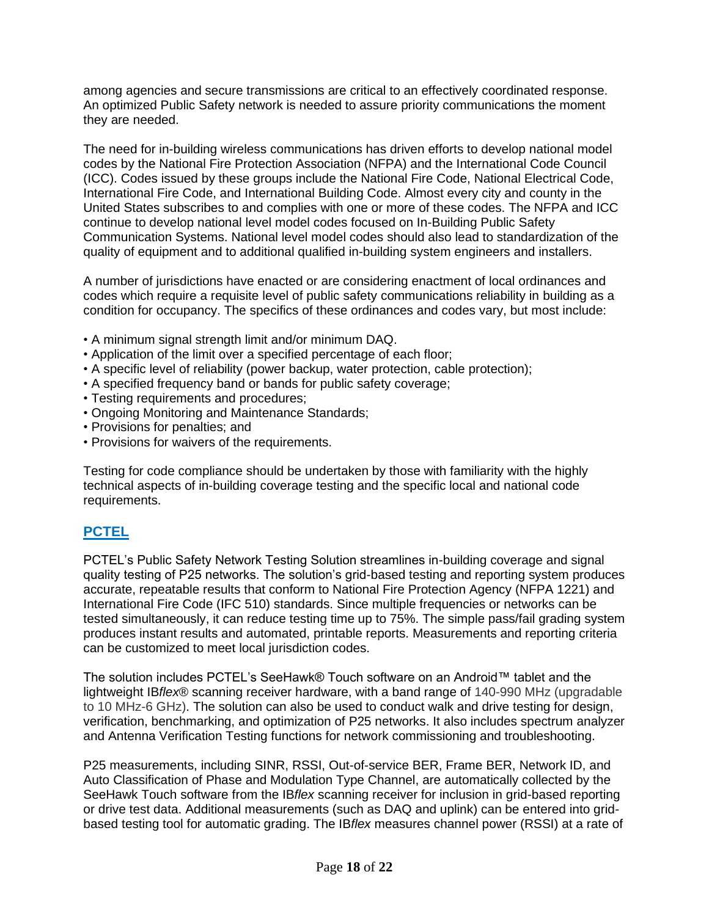among agencies and secure transmissions are critical to an effectively coordinated response. An optimized Public Safety network is needed to assure priority communications the moment they are needed.

The need for in-building wireless communications has driven efforts to develop national model codes by the National Fire Protection Association (NFPA) and the International Code Council (ICC). Codes issued by these groups include the National Fire Code, National Electrical Code, International Fire Code, and International Building Code. Almost every city and county in the United States subscribes to and complies with one or more of these codes. The NFPA and ICC continue to develop national level model codes focused on In-Building Public Safety Communication Systems. National level model codes should also lead to standardization of the quality of equipment and to additional qualified in-building system engineers and installers.

A number of jurisdictions have enacted or are considering enactment of local ordinances and codes which require a requisite level of public safety communications reliability in building as a condition for occupancy. The specifics of these ordinances and codes vary, but most include:

- A minimum signal strength limit and/or minimum DAQ.
- Application of the limit over a specified percentage of each floor;
- A specific level of reliability (power backup, water protection, cable protection);
- A specified frequency band or bands for public safety coverage;
- Testing requirements and procedures;
- Ongoing Monitoring and Maintenance Standards;
- Provisions for penalties; and
- Provisions for waivers of the requirements.

Testing for code compliance should be undertaken by those with familiarity with the highly technical aspects of in-building coverage testing and the specific local and national code requirements.

## **PCTEL**

PCTEL's Public Safety Network Testing Solution streamlines in-building coverage and signal quality testing of P25 networks. The solution's grid-based testing and reporting system produces accurate, repeatable results that conform to National Fire Protection Agency (NFPA 1221) and International Fire Code (IFC 510) standards. Since multiple frequencies or networks can be tested simultaneously, it can reduce testing time up to 75%. The simple pass/fail grading system produces instant results and automated, printable reports. Measurements and reporting criteria can be customized to meet local jurisdiction codes.

The solution includes PCTEL's SeeHawk® Touch software on an Android™ tablet and the lightweight IB*flex*® scanning receiver hardware, with a band range of 140-990 MHz (upgradable to 10 MHz-6 GHz). The solution can also be used to conduct walk and drive testing for design, verification, benchmarking, and optimization of P25 networks. It also includes spectrum analyzer and Antenna Verification Testing functions for network commissioning and troubleshooting.

P25 measurements, including SINR, RSSI, Out-of-service BER, Frame BER, Network ID, and Auto Classification of Phase and Modulation Type Channel, are automatically collected by the SeeHawk Touch software from the IB*flex* scanning receiver for inclusion in grid-based reporting or drive test data. Additional measurements (such as DAQ and uplink) can be entered into gridbased testing tool for automatic grading. The IB*flex* measures channel power (RSSI) at a rate of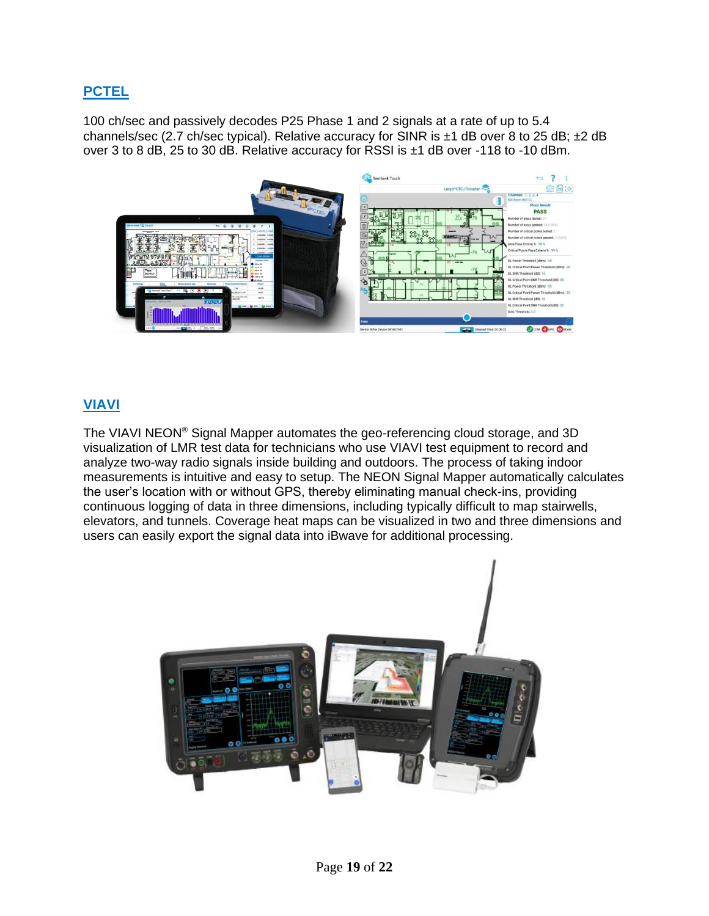## **PCTEL**

100 ch/sec and passively decodes P25 Phase 1 and 2 signals at a rate of up to 5.4 channels/sec (2.7 ch/sec typical). Relative accuracy for SINR is ±1 dB over 8 to 25 dB; ±2 dB over 3 to 8 dB, 25 to 30 dB. Relative accuracy for RSSI is ±1 dB over -118 to -10 dBm.



## **VIAVI**

The VIAVI NEON® Signal Mapper automates the geo-referencing cloud storage, and 3D visualization of LMR test data for technicians who use VIAVI test equipment to record and analyze two-way radio signals inside building and outdoors. The process of taking indoor measurements is intuitive and easy to setup. The NEON Signal Mapper automatically calculates the user's location with or without GPS, thereby eliminating manual check-ins, providing continuous logging of data in three dimensions, including typically difficult to map stairwells, elevators, and tunnels. Coverage heat maps can be visualized in two and three dimensions and users can easily export the signal data into iBwave for additional processing.

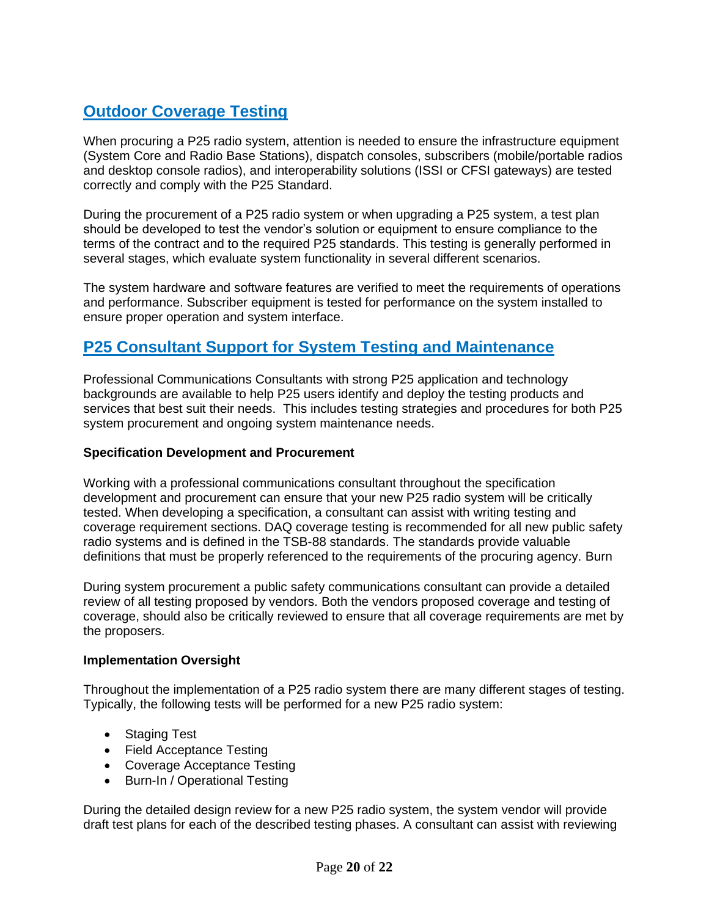# **Outdoor Coverage Testing**

When procuring a P25 radio system, attention is needed to ensure the infrastructure equipment (System Core and Radio Base Stations), dispatch consoles, subscribers (mobile/portable radios and desktop console radios), and interoperability solutions (ISSI or CFSI gateways) are tested correctly and comply with the P25 Standard.

During the procurement of a P25 radio system or when upgrading a P25 system, a test plan should be developed to test the vendor's solution or equipment to ensure compliance to the terms of the contract and to the required P25 standards. This testing is generally performed in several stages, which evaluate system functionality in several different scenarios.

The system hardware and software features are verified to meet the requirements of operations and performance. Subscriber equipment is tested for performance on the system installed to ensure proper operation and system interface.

# **P25 Consultant Support for System Testing and Maintenance**

Professional Communications Consultants with strong P25 application and technology backgrounds are available to help P25 users identify and deploy the testing products and services that best suit their needs. This includes testing strategies and procedures for both P25 system procurement and ongoing system maintenance needs.

### **Specification Development and Procurement**

Working with a professional communications consultant throughout the specification development and procurement can ensure that your new P25 radio system will be critically tested. When developing a specification, a consultant can assist with writing testing and coverage requirement sections. DAQ coverage testing is recommended for all new public safety radio systems and is defined in the TSB-88 standards. The standards provide valuable definitions that must be properly referenced to the requirements of the procuring agency. Burn

During system procurement a public safety communications consultant can provide a detailed review of all testing proposed by vendors. Both the vendors proposed coverage and testing of coverage, should also be critically reviewed to ensure that all coverage requirements are met by the proposers.

### **Implementation Oversight**

Throughout the implementation of a P25 radio system there are many different stages of testing. Typically, the following tests will be performed for a new P25 radio system:

- Staging Test
- Field Acceptance Testing
- Coverage Acceptance Testing
- Burn-In / Operational Testing

During the detailed design review for a new P25 radio system, the system vendor will provide draft test plans for each of the described testing phases. A consultant can assist with reviewing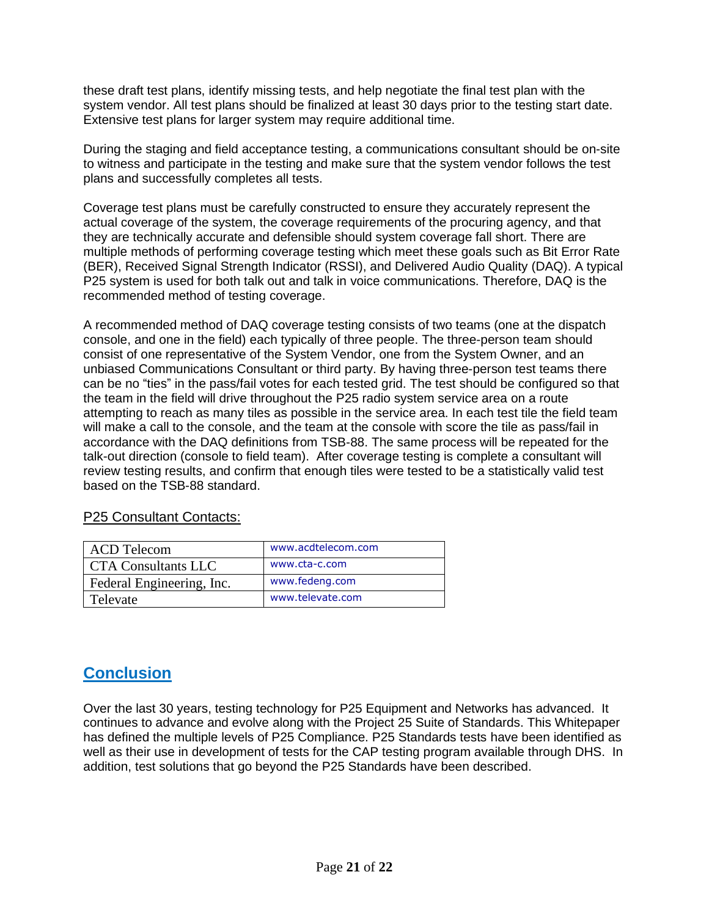these draft test plans, identify missing tests, and help negotiate the final test plan with the system vendor. All test plans should be finalized at least 30 days prior to the testing start date. Extensive test plans for larger system may require additional time.

During the staging and field acceptance testing, a communications consultant should be on-site to witness and participate in the testing and make sure that the system vendor follows the test plans and successfully completes all tests.

Coverage test plans must be carefully constructed to ensure they accurately represent the actual coverage of the system, the coverage requirements of the procuring agency, and that they are technically accurate and defensible should system coverage fall short. There are multiple methods of performing coverage testing which meet these goals such as Bit Error Rate (BER), Received Signal Strength Indicator (RSSI), and Delivered Audio Quality (DAQ). A typical P25 system is used for both talk out and talk in voice communications. Therefore, DAQ is the recommended method of testing coverage.

A recommended method of DAQ coverage testing consists of two teams (one at the dispatch console, and one in the field) each typically of three people. The three-person team should consist of one representative of the System Vendor, one from the System Owner, and an unbiased Communications Consultant or third party. By having three-person test teams there can be no "ties" in the pass/fail votes for each tested grid. The test should be configured so that the team in the field will drive throughout the P25 radio system service area on a route attempting to reach as many tiles as possible in the service area. In each test tile the field team will make a call to the console, and the team at the console with score the tile as pass/fail in accordance with the DAQ definitions from TSB-88. The same process will be repeated for the talk-out direction (console to field team). After coverage testing is complete a consultant will review testing results, and confirm that enough tiles were tested to be a statistically valid test based on the TSB-88 standard.

### P25 Consultant Contacts:

| <b>ACD Telecom</b>         | www.acdtelecom.com |
|----------------------------|--------------------|
| <b>CTA Consultants LLC</b> | www.cta-c.com      |
| Federal Engineering, Inc.  | www.fedeng.com     |
| Televate                   | www.televate.com   |

# **Conclusion**

Over the last 30 years, testing technology for P25 Equipment and Networks has advanced. It continues to advance and evolve along with the Project 25 Suite of Standards. This Whitepaper has defined the multiple levels of P25 Compliance. P25 Standards tests have been identified as well as their use in development of tests for the CAP testing program available through DHS. In addition, test solutions that go beyond the P25 Standards have been described.